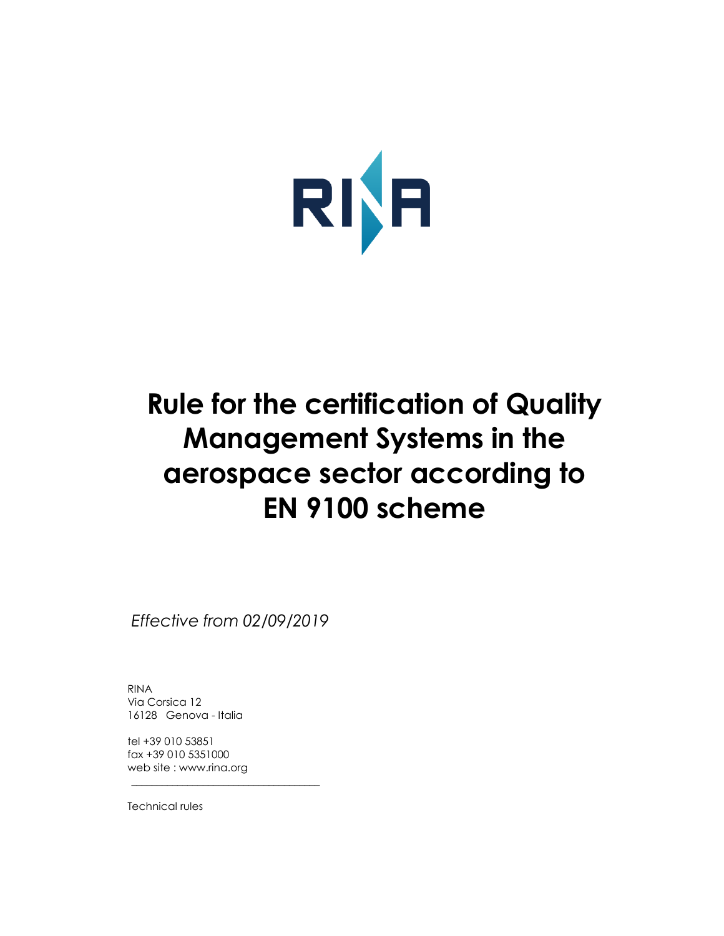

# **Rule for the certification of Quality Management Systems in the aerospace sector according to EN 9100 scheme**

*Effective from 02/09/2019*

\_\_\_\_\_\_\_\_\_\_\_\_\_\_\_\_\_\_\_\_\_\_\_\_\_\_\_\_\_\_\_\_\_\_\_\_\_

RINA Via Corsica 12 16128 Genova - Italia

tel +39 010 53851 fax +39 010 5351000 web site : www.rina.org

Technical rules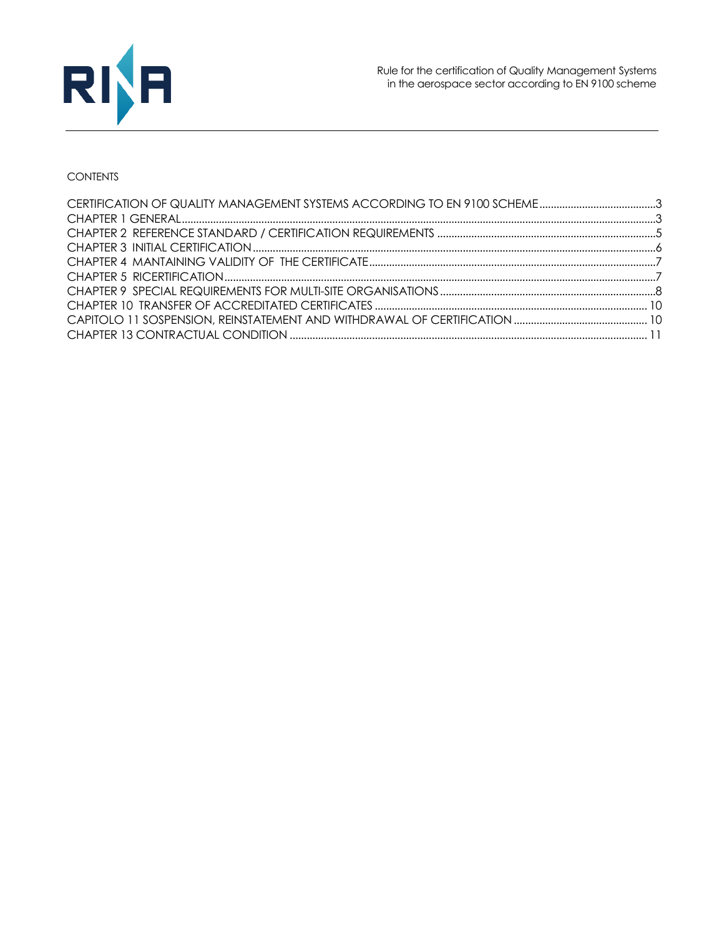

## **CONTENTS**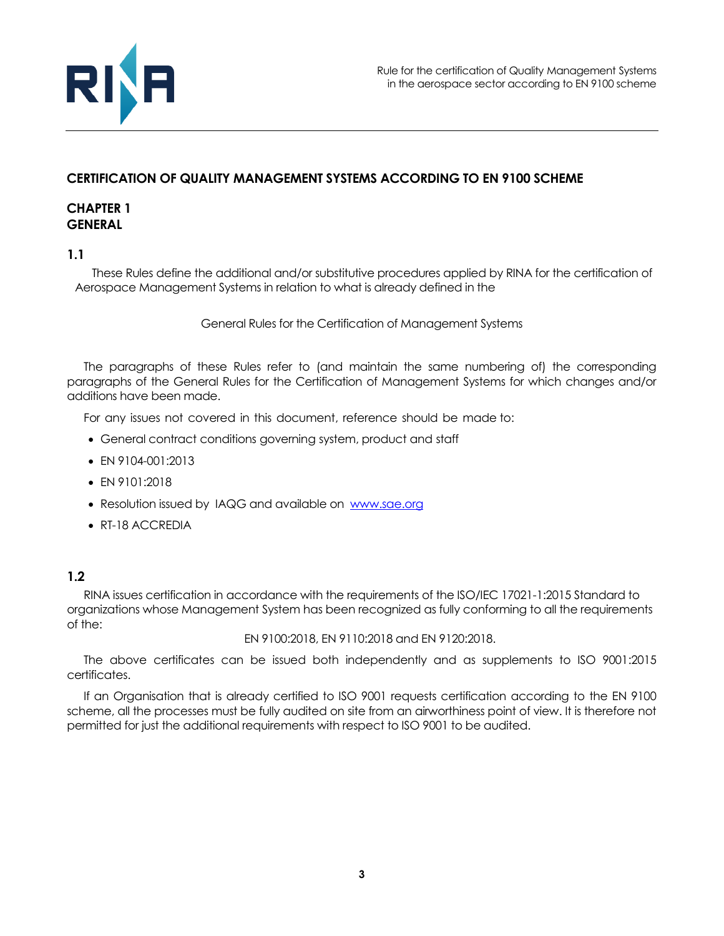

# <span id="page-2-0"></span>**CERTIFICATION OF QUALITY MANAGEMENT SYSTEMS ACCORDING TO EN 9100 SCHEME**

## <span id="page-2-1"></span>**CHAPTER 1 GENERAL**

## **1.1**

These Rules define the additional and/or substitutive procedures applied by RINA for the certification of Aerospace Management Systems in relation to what is already defined in the

General Rules for the Certification of Management Systems

The paragraphs of these Rules refer to (and maintain the same numbering of) the corresponding paragraphs of the General Rules for the Certification of Management Systems for which changes and/or additions have been made.

For any issues not covered in this document, reference should be made to:

- General contract conditions governing system, product and staff
- EN 9104-001:2013
- EN 9101:2018
- Resolution issued by IAQG and available on [www.sae.org](http://www.sae.org/)
- RT-18 ACCREDIA

## **1.2**

RINA issues certification in accordance with the requirements of the ISO/IEC 17021-1:2015 Standard to organizations whose Management System has been recognized as fully conforming to all the requirements of the:

EN 9100:2018, EN 9110:2018 and EN 9120:2018.

The above certificates can be issued both independently and as supplements to ISO 9001:2015 certificates.

If an Organisation that is already certified to ISO 9001 requests certification according to the EN 9100 scheme, all the processes must be fully audited on site from an airworthiness point of view. It is therefore not permitted for just the additional requirements with respect to ISO 9001 to be audited.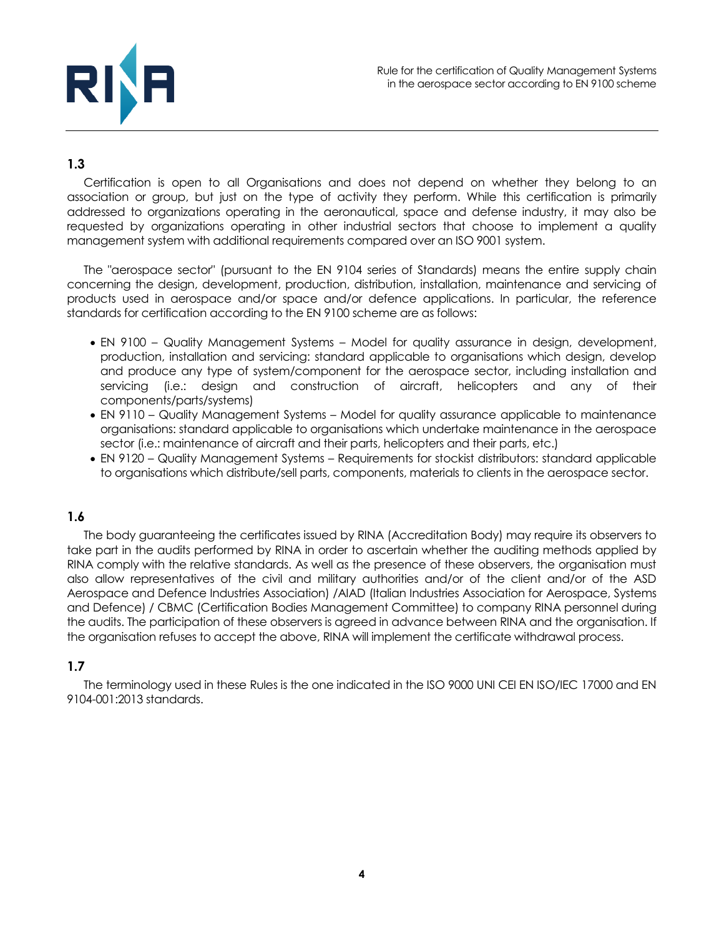

# **1.3**

Certification is open to all Organisations and does not depend on whether they belong to an association or group, but just on the type of activity they perform. While this certification is primarily addressed to organizations operating in the aeronautical, space and defense industry, it may also be requested by organizations operating in other industrial sectors that choose to implement a quality management system with additional requirements compared over an ISO 9001 system.

The "aerospace sector" (pursuant to the EN 9104 series of Standards) means the entire supply chain concerning the design, development, production, distribution, installation, maintenance and servicing of products used in aerospace and/or space and/or defence applications. In particular, the reference standards for certification according to the EN 9100 scheme are as follows:

- EN 9100 Quality Management Systems Model for quality assurance in design, development, production, installation and servicing: standard applicable to organisations which design, develop and produce any type of system/component for the aerospace sector, including installation and servicing (i.e.: design and construction of aircraft, helicopters and any of their components/parts/systems)
- EN 9110 Quality Management Systems Model for quality assurance applicable to maintenance organisations: standard applicable to organisations which undertake maintenance in the aerospace sector (i.e.: maintenance of aircraft and their parts, helicopters and their parts, etc.)
- EN 9120 Quality Management Systems Requirements for stockist distributors: standard applicable to organisations which distribute/sell parts, components, materials to clients in the aerospace sector.

# **1.6**

The body guaranteeing the certificates issued by RINA (Accreditation Body) may require its observers to take part in the audits performed by RINA in order to ascertain whether the auditing methods applied by RINA comply with the relative standards. As well as the presence of these observers, the organisation must also allow representatives of the civil and military authorities and/or of the client and/or of the ASD Aerospace and Defence Industries Association) /AIAD (Italian Industries Association for Aerospace, Systems and Defence) / CBMC (Certification Bodies Management Committee) to company RINA personnel during the audits. The participation of these observers is agreed in advance between RINA and the organisation. If the organisation refuses to accept the above, RINA will implement the certificate withdrawal process.

# **1.7**

The terminology used in these Rules is the one indicated in the ISO 9000 UNI CEI EN ISO/IEC 17000 and EN 9104-001:2013 standards.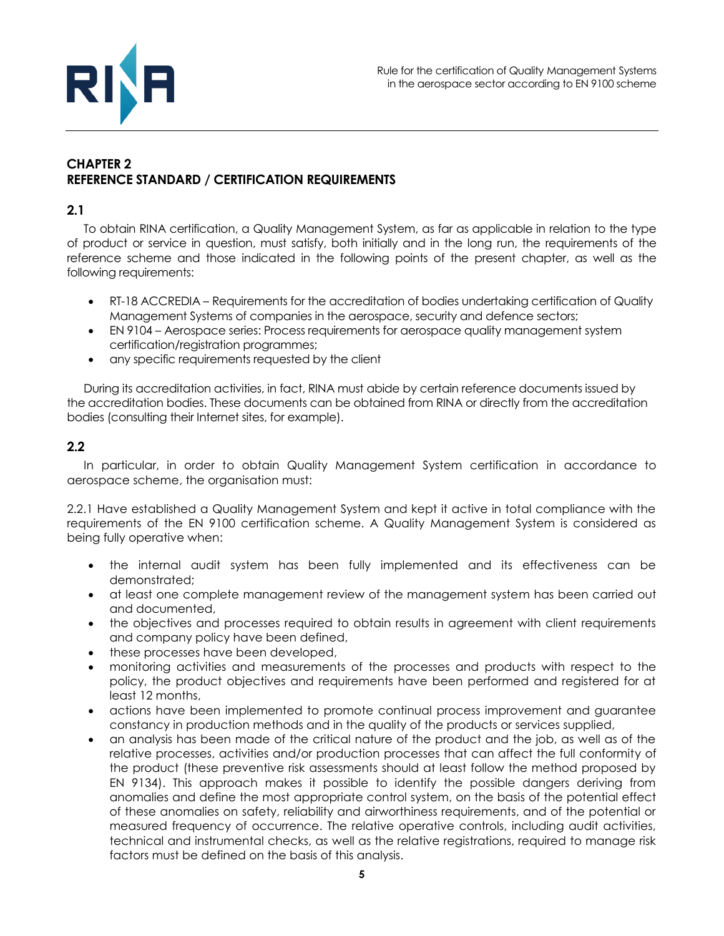

# <span id="page-4-0"></span>**CHAPTER 2 REFERENCE STANDARD / CERTIFICATION REQUIREMENTS**

## **2.1**

To obtain RINA certification, a Quality Management System, as far as applicable in relation to the type of product or service in question, must satisfy, both initially and in the long run, the requirements of the reference scheme and those indicated in the following points of the present chapter, as well as the following requirements:

- RT-18 ACCREDIA Requirements for the accreditation of bodies undertaking certification of Quality Management Systems of companies in the aerospace, security and defence sectors;
- EN 9104 Aerospace series: Process requirements for aerospace quality management system certification/registration programmes;
- any specific requirements requested by the client

During its accreditation activities, in fact, RINA must abide by certain reference documents issued by the accreditation bodies. These documents can be obtained from RINA or directly from the accreditation bodies (consulting their Internet sites, for example).

## **2.2**

In particular, in order to obtain Quality Management System certification in accordance to aerospace scheme, the organisation must:

2.2.1 Have established a Quality Management System and kept it active in total compliance with the requirements of the EN 9100 certification scheme. A Quality Management System is considered as being fully operative when:

- the internal audit system has been fully implemented and its effectiveness can be demonstrated;
- at least one complete management review of the management system has been carried out and documented,
- the objectives and processes required to obtain results in agreement with client requirements and company policy have been defined,
- these processes have been developed,
- monitoring activities and measurements of the processes and products with respect to the policy, the product objectives and requirements have been performed and registered for at least 12 months,
- actions have been implemented to promote continual process improvement and guarantee constancy in production methods and in the quality of the products or services supplied,
- an analysis has been made of the critical nature of the product and the job, as well as of the relative processes, activities and/or production processes that can affect the full conformity of the product (these preventive risk assessments should at least follow the method proposed by EN 9134). This approach makes it possible to identify the possible dangers deriving from anomalies and define the most appropriate control system, on the basis of the potential effect of these anomalies on safety, reliability and airworthiness requirements, and of the potential or measured frequency of occurrence. The relative operative controls, including audit activities, technical and instrumental checks, as well as the relative registrations, required to manage risk factors must be defined on the basis of this analysis.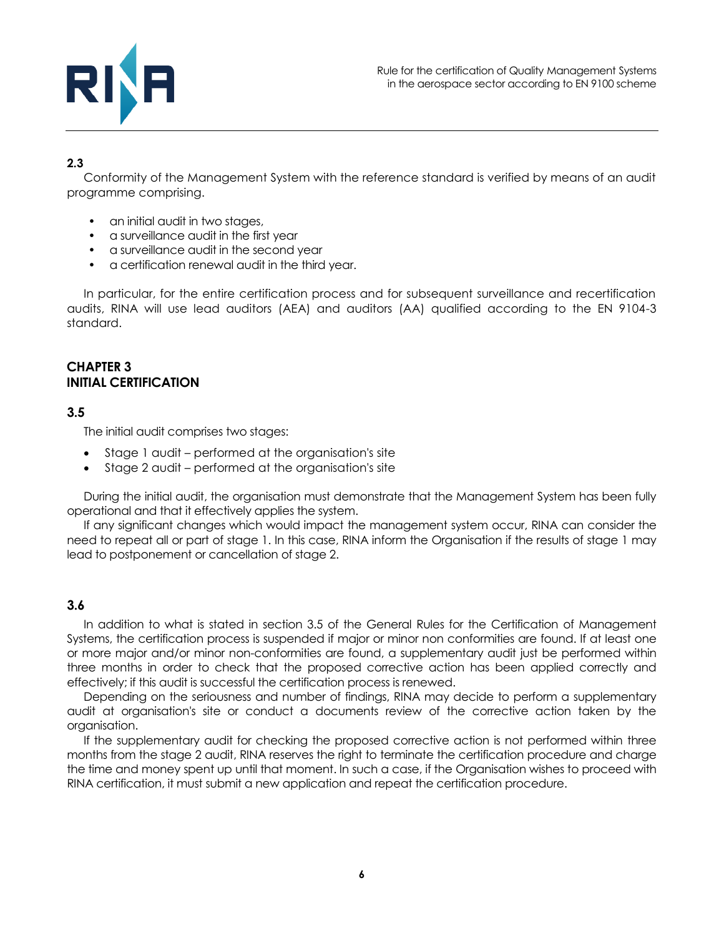

# **2.3**

Conformity of the Management System with the reference standard is verified by means of an audit programme comprising.

- an initial audit in two stages,
- a surveillance audit in the first year
- a surveillance audit in the second year
- a certification renewal audit in the third year.

In particular, for the entire certification process and for subsequent surveillance and recertification audits, RINA will use lead auditors (AEA) and auditors (AA) qualified according to the EN 9104-3 standard.

#### <span id="page-5-0"></span>**CHAPTER 3 INITIAL CERTIFICATION**

#### **3.5**

The initial audit comprises two stages:

- Stage 1 audit performed at the organisation's site
- Stage 2 audit performed at the organisation's site

During the initial audit, the organisation must demonstrate that the Management System has been fully operational and that it effectively applies the system.

If any significant changes which would impact the management system occur, RINA can consider the need to repeat all or part of stage 1. In this case, RINA inform the Organisation if the results of stage 1 may lead to postponement or cancellation of stage 2.

#### **3.6**

In addition to what is stated in section 3.5 of the General Rules for the Certification of Management Systems, the certification process is suspended if major or minor non conformities are found. If at least one or more major and/or minor non-conformities are found, a supplementary audit just be performed within three months in order to check that the proposed corrective action has been applied correctly and effectively; if this audit is successful the certification process is renewed.

Depending on the seriousness and number of findings, RINA may decide to perform a supplementary audit at organisation's site or conduct a documents review of the corrective action taken by the organisation.

If the supplementary audit for checking the proposed corrective action is not performed within three months from the stage 2 audit, RINA reserves the right to terminate the certification procedure and charge the time and money spent up until that moment. In such a case, if the Organisation wishes to proceed with RINA certification, it must submit a new application and repeat the certification procedure.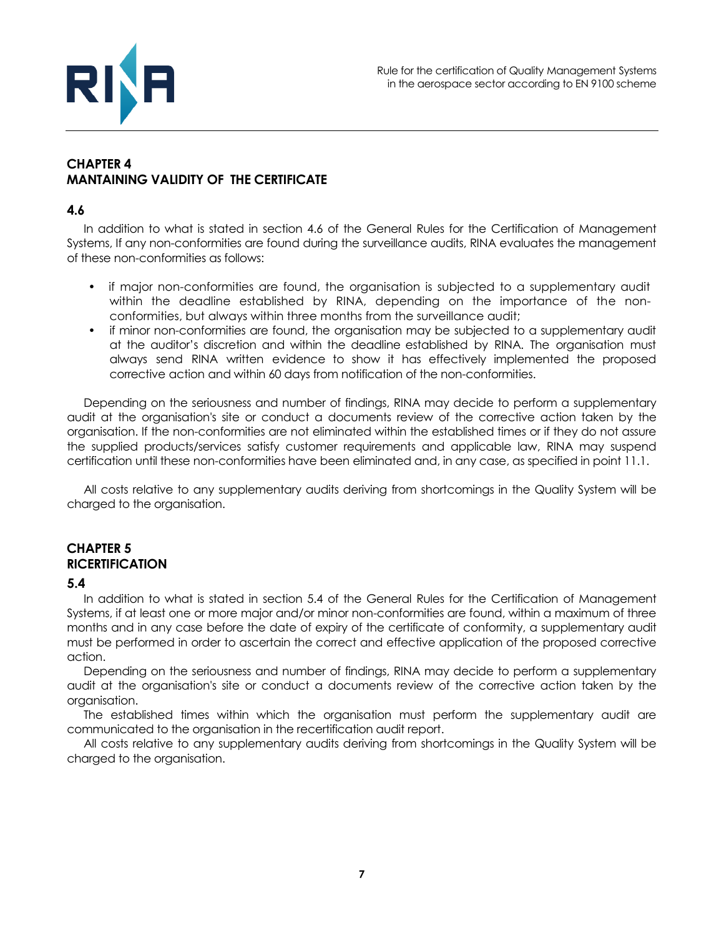

## <span id="page-6-0"></span>**CHAPTER 4 MANTAINING VALIDITY OF THE CERTIFICATE**

#### **4.6**

In addition to what is stated in section 4.6 of the General Rules for the Certification of Management Systems, If any non-conformities are found during the surveillance audits, RINA evaluates the management of these non-conformities as follows:

- if major non-conformities are found, the organisation is subjected to a supplementary audit within the deadline established by RINA, depending on the importance of the nonconformities, but always within three months from the surveillance audit;
- if minor non-conformities are found, the organisation may be subjected to a supplementary audit at the auditor's discretion and within the deadline established by RINA. The organisation must always send RINA written evidence to show it has effectively implemented the proposed corrective action and within 60 days from notification of the non-conformities.

Depending on the seriousness and number of findings, RINA may decide to perform a supplementary audit at the organisation's site or conduct a documents review of the corrective action taken by the organisation. If the non-conformities are not eliminated within the established times or if they do not assure the supplied products/services satisfy customer requirements and applicable law, RINA may suspend certification until these non-conformities have been eliminated and, in any case, as specified in point 11.1.

All costs relative to any supplementary audits deriving from shortcomings in the Quality System will be charged to the organisation.

## <span id="page-6-1"></span>**CHAPTER 5 RICERTIFICATION**

## **5.4**

In addition to what is stated in section 5.4 of the General Rules for the Certification of Management Systems, if at least one or more major and/or minor non-conformities are found, within a maximum of three months and in any case before the date of expiry of the certificate of conformity, a supplementary audit must be performed in order to ascertain the correct and effective application of the proposed corrective action.

Depending on the seriousness and number of findings, RINA may decide to perform a supplementary audit at the organisation's site or conduct a documents review of the corrective action taken by the organisation.

The established times within which the organisation must perform the supplementary audit are communicated to the organisation in the recertification audit report.

All costs relative to any supplementary audits deriving from shortcomings in the Quality System will be charged to the organisation.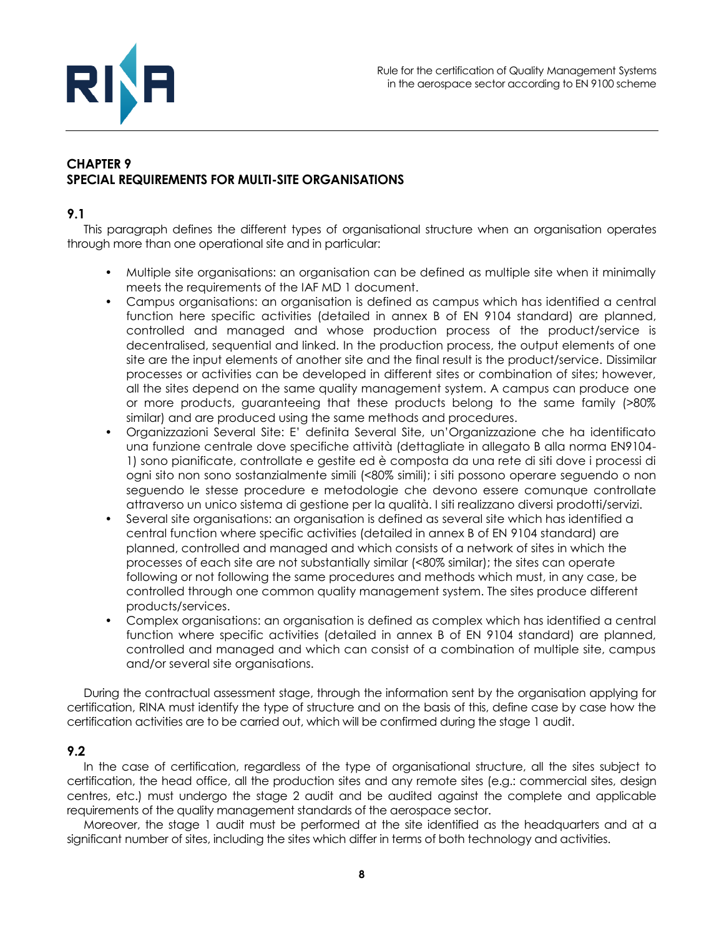

# <span id="page-7-0"></span>**CHAPTER 9 SPECIAL REQUIREMENTS FOR MULTI-SITE ORGANISATIONS**

#### **9.1**

This paragraph defines the different types of organisational structure when an organisation operates through more than one operational site and in particular:

- Multiple site organisations: an organisation can be defined as multiple site when it minimally meets the requirements of the IAF MD 1 document.
- Campus organisations: an organisation is defined as campus which has identified a central function here specific activities (detailed in annex B of EN 9104 standard) are planned, controlled and managed and whose production process of the product/service is decentralised, sequential and linked. In the production process, the output elements of one site are the input elements of another site and the final result is the product/service. Dissimilar processes or activities can be developed in different sites or combination of sites; however, all the sites depend on the same quality management system. A campus can produce one or more products, guaranteeing that these products belong to the same family (>80% similar) and are produced using the same methods and procedures.
- Organizzazioni Several Site: E' definita Several Site, un'Organizzazione che ha identificato una funzione centrale dove specifiche attività (dettagliate in allegato B alla norma EN9104- 1) sono pianificate, controllate e gestite ed è composta da una rete di siti dove i processi di ogni sito non sono sostanzialmente simili (<80% simili); i siti possono operare seguendo o non seguendo le stesse procedure e metodologie che devono essere comunque controllate attraverso un unico sistema di gestione per la qualità. I siti realizzano diversi prodotti/servizi.
- Several site organisations: an organisation is defined as several site which has identified a central function where specific activities (detailed in annex B of EN 9104 standard) are planned, controlled and managed and which consists of a network of sites in which the processes of each site are not substantially similar (<80% similar); the sites can operate following or not following the same procedures and methods which must, in any case, be controlled through one common quality management system. The sites produce different products/services.
- Complex organisations: an organisation is defined as complex which has identified a central function where specific activities (detailed in annex B of EN 9104 standard) are planned, controlled and managed and which can consist of a combination of multiple site, campus and/or several site organisations.

During the contractual assessment stage, through the information sent by the organisation applying for certification, RINA must identify the type of structure and on the basis of this, define case by case how the certification activities are to be carried out, which will be confirmed during the stage 1 audit.

## **9.2**

In the case of certification, regardless of the type of organisational structure, all the sites subject to certification, the head office, all the production sites and any remote sites (e.g.: commercial sites, design centres, etc.) must undergo the stage 2 audit and be audited against the complete and applicable requirements of the quality management standards of the aerospace sector.

Moreover, the stage 1 audit must be performed at the site identified as the headquarters and at a significant number of sites, including the sites which differ in terms of both technology and activities.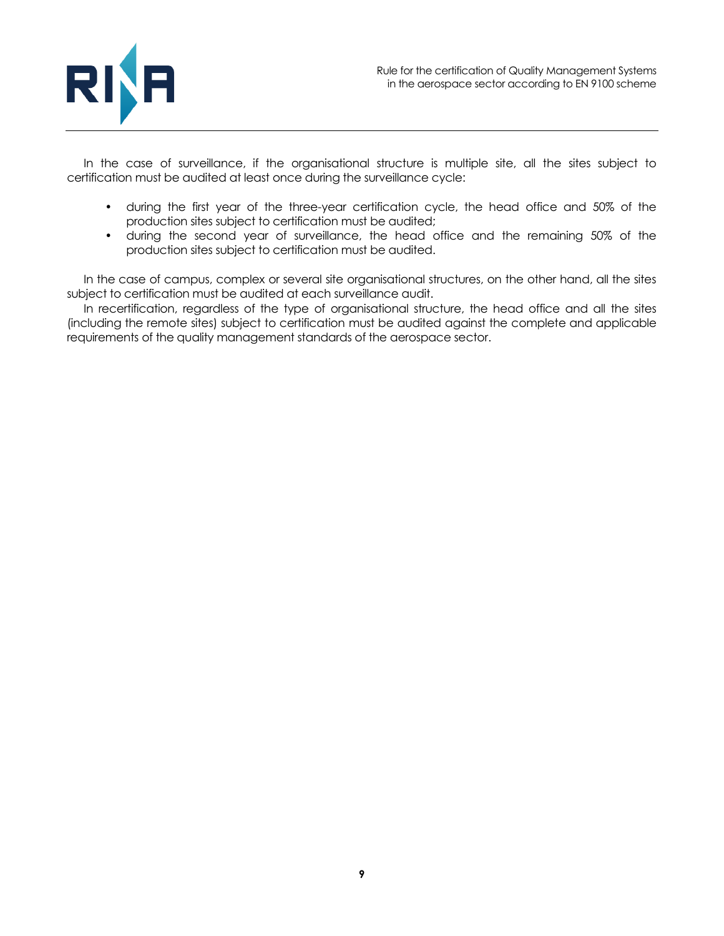

In the case of surveillance, if the organisational structure is multiple site, all the sites subject to certification must be audited at least once during the surveillance cycle:

- during the first year of the three-year certification cycle, the head office and 50% of the production sites subject to certification must be audited;
- during the second year of surveillance, the head office and the remaining 50% of the production sites subject to certification must be audited.

In the case of campus, complex or several site organisational structures, on the other hand, all the sites subject to certification must be audited at each surveillance audit.

In recertification, regardless of the type of organisational structure, the head office and all the sites (including the remote sites) subject to certification must be audited against the complete and applicable requirements of the quality management standards of the aerospace sector.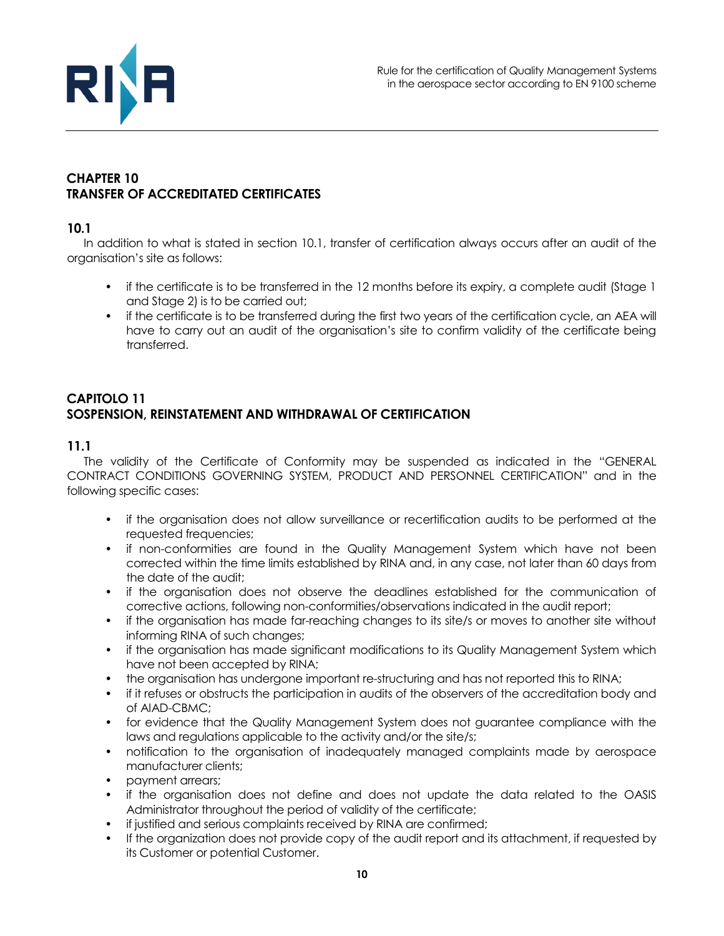

# <span id="page-9-0"></span>**CHAPTER 10 TRANSFER OF ACCREDITATED CERTIFICATES**

#### **10.1**

In addition to what is stated in section 10.1, transfer of certification always occurs after an audit of the organisation's site as follows:

- if the certificate is to be transferred in the 12 months before its expiry, a complete audit (Stage 1) and Stage 2) is to be carried out;
- if the certificate is to be transferred during the first two years of the certification cycle, an AEA will have to carry out an audit of the organisation's site to confirm validity of the certificate being transferred.

## <span id="page-9-1"></span>**CAPITOLO 11 SOSPENSION, REINSTATEMENT AND WITHDRAWAL OF CERTIFICATION**

#### **11.1**

The validity of the Certificate of Conformity may be suspended as indicated in the "GENERAL CONTRACT CONDITIONS GOVERNING SYSTEM, PRODUCT AND PERSONNEL CERTIFICATION" and in the following specific cases:

- if the organisation does not allow surveillance or recertification audits to be performed at the requested frequencies;
- if non-conformities are found in the Quality Management System which have not been corrected within the time limits established by RINA and, in any case, not later than 60 days from the date of the audit;
- if the organisation does not observe the deadlines established for the communication of corrective actions, following non-conformities/observations indicated in the audit report;
- if the organisation has made far-reaching changes to its site/s or moves to another site without informing RINA of such changes;
- if the organisation has made significant modifications to its Quality Management System which have not been accepted by RINA;
- the organisation has undergone important re-structuring and has not reported this to RINA;
- if it refuses or obstructs the participation in audits of the observers of the accreditation body and of AIAD-CBMC;
- for evidence that the Quality Management System does not guarantee compliance with the laws and regulations applicable to the activity and/or the site/s;
- notification to the organisation of inadequately managed complaints made by aerospace manufacturer clients;
- payment arrears;
- if the organisation does not define and does not update the data related to the OASIS Administrator throughout the period of validity of the certificate;
- if justified and serious complaints received by RINA are confirmed;
- If the organization does not provide copy of the audit report and its attachment, if requested by its Customer or potential Customer.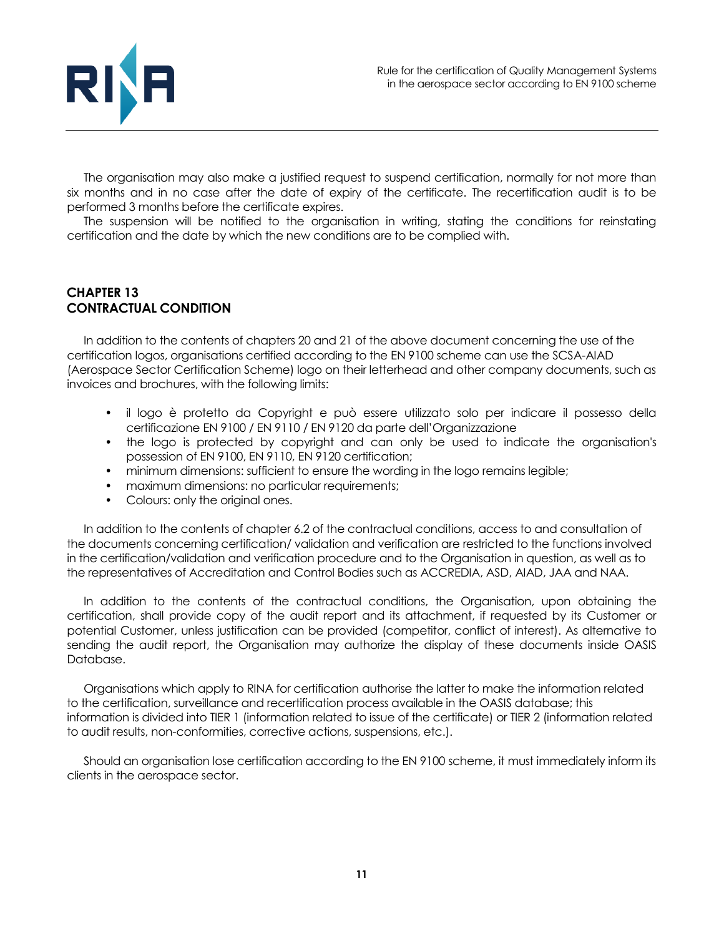

The organisation may also make a justified request to suspend certification, normally for not more than six months and in no case after the date of expiry of the certificate. The recertification audit is to be performed 3 months before the certificate expires.

The suspension will be notified to the organisation in writing, stating the conditions for reinstating certification and the date by which the new conditions are to be complied with.

## <span id="page-10-0"></span>**CHAPTER 13 CONTRACTUAL CONDITION**

In addition to the contents of chapters 20 and 21 of the above document concerning the use of the certification logos, organisations certified according to the EN 9100 scheme can use the SCSA-AIAD (Aerospace Sector Certification Scheme) logo on their letterhead and other company documents, such as invoices and brochures, with the following limits:

- il logo è protetto da Copyright e può essere utilizzato solo per indicare il possesso della certificazione EN 9100 / EN 9110 / EN 9120 da parte dell'Organizzazione
- the logo is protected by copyright and can only be used to indicate the organisation's possession of EN 9100, EN 9110, EN 9120 certification;
- minimum dimensions: sufficient to ensure the wording in the logo remains legible;
- maximum dimensions: no particular requirements;
- Colours: only the original ones.

In addition to the contents of chapter 6.2 of the contractual conditions, access to and consultation of the documents concerning certification/ validation and verification are restricted to the functions involved in the certification/validation and verification procedure and to the Organisation in question, as well as to the representatives of Accreditation and Control Bodies such as ACCREDIA, ASD, AIAD, JAA and NAA.

In addition to the contents of the contractual conditions, the Organisation, upon obtaining the certification, shall provide copy of the audit report and its attachment, if requested by its Customer or potential Customer, unless justification can be provided (competitor, conflict of interest). As alternative to sending the audit report, the Organisation may authorize the display of these documents inside OASIS Database.

Organisations which apply to RINA for certification authorise the latter to make the information related to the certification, surveillance and recertification process available in the OASIS database; this information is divided into TIER 1 (information related to issue of the certificate) or TIER 2 (information related to audit results, non-conformities, corrective actions, suspensions, etc.).

Should an organisation lose certification according to the EN 9100 scheme, it must immediately inform its clients in the aerospace sector.